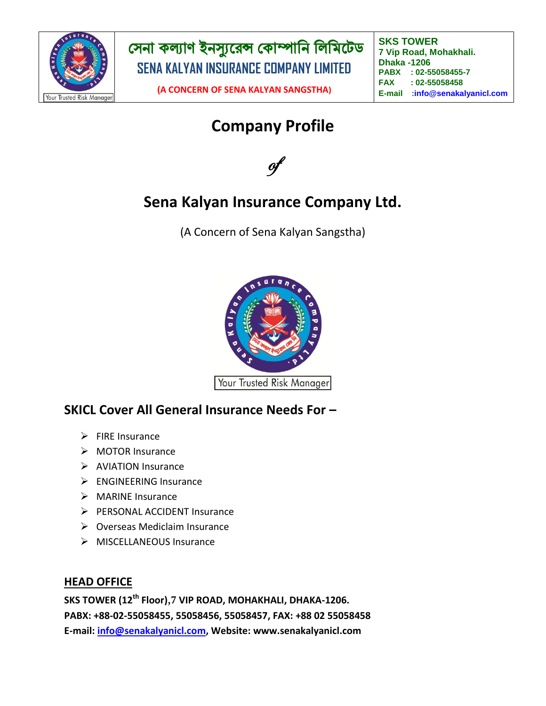

**(A CONCERN OF SENA KALYAN SANGSTHA)**

**SKS TOWER 7 Vip Road, Mohakhali. Dhaka -1206 PABX : 02-55058455-7 FAX : 02-55058458 E-mail :info@senakalyanicl.com : info@senakalyanicl.com**

# **Company Profile**



# **Sena Kalyan Insurance Company Ltd.**

(A Concern of Sena Kalyan Sangstha)



## **SKICL Cover All General Insurance Needs For –**

- $\triangleright$  FIRE Insurance
- > MOTOR Insurance
- $\triangleright$  AVIATION Insurance
- > ENGINEERING Insurance
- $\triangleright$  MARINE Insurance
- **PERSONAL ACCIDENT Insurance**
- $\triangleright$  Overseas Mediclaim Insurance
- $\triangleright$  MISCELLANEOUS Insurance

#### **HEAD OFFICE**

**SKS TOWER (12th Floor)**,**7 VIP ROAD, MOHAKHALI, DHAKA-1206. PABX: +88-02-55058455, 55058456, 55058457, FAX: +88 02 55058458 E-mail: [info@senakalyanicl.com,](mailto:info@senakalyanicl.com) Website: www.senakalyanicl.com**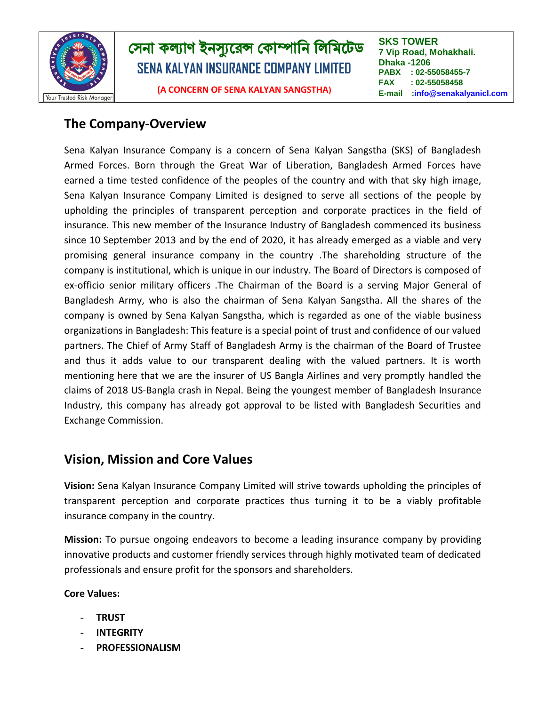

**(A CONCERN OF SENA KALYAN SANGSTHA)**

**SKS TOWER 7 Vip Road, Mohakhali. Dhaka -1206 PABX : 02-55058455-7 FAX : 02-55058458 E-mail :info@senakalyanicl.com : info@senakalyanicl.com**

### **The Company-Overview**

Sena Kalyan Insurance Company is a concern of Sena Kalyan Sangstha (SKS) of Bangladesh Armed Forces. Born through the Great War of Liberation, Bangladesh Armed Forces have earned a time tested confidence of the peoples of the country and with that sky high image, Sena Kalyan Insurance Company Limited is designed to serve all sections of the people by upholding the principles of transparent perception and corporate practices in the field of insurance. This new member of the Insurance Industry of Bangladesh commenced its business since 10 September 2013 and by the end of 2020, it has already emerged as a viable and very promising general insurance company in the country .The shareholding structure of the company is institutional, which is unique in our industry. The Board of Directors is composed of ex-officio senior military officers .The Chairman of the Board is a serving Major General of Bangladesh Army, who is also the chairman of Sena Kalyan Sangstha. All the shares of the company is owned by Sena Kalyan Sangstha, which is regarded as one of the viable business organizations in Bangladesh: This feature is a special point of trust and confidence of our valued partners. The Chief of Army Staff of Bangladesh Army is the chairman of the Board of Trustee and thus it adds value to our transparent dealing with the valued partners. It is worth mentioning here that we are the insurer of US Bangla Airlines and very promptly handled the claims of 2018 US-Bangla crash in Nepal. Being the youngest member of Bangladesh Insurance Industry, this company has already got approval to be listed with Bangladesh Securities and Exchange Commission.

## **Vision, Mission and Core Values**

**Vision:** Sena Kalyan Insurance Company Limited will strive towards upholding the principles of transparent perception and corporate practices thus turning it to be a viably profitable insurance company in the country.

**Mission:** To pursue ongoing endeavors to become a leading insurance company by providing innovative products and customer friendly services through highly motivated team of dedicated professionals and ensure profit for the sponsors and shareholders.

#### **Core Values:**

- **TRUST**
- **INTEGRITY**
- **PROFESSIONALISM**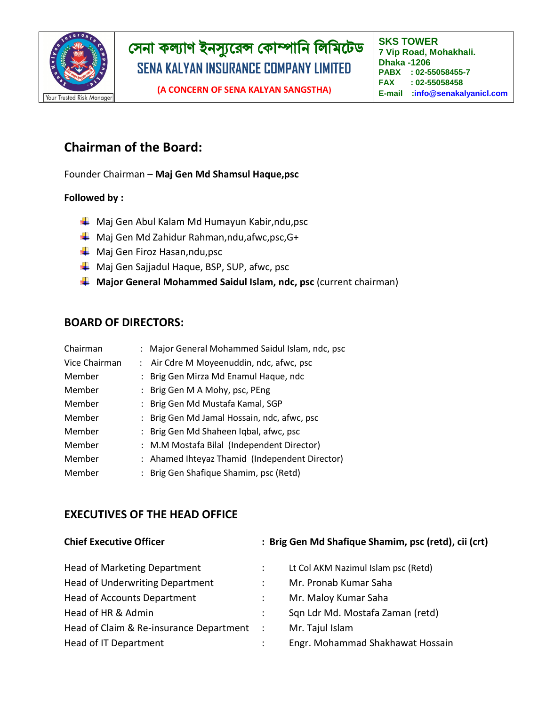

**SKS TOWER 7 Vip Road, Mohakhali. Dhaka -1206 PABX : 02-55058455-7 FAX : 02-55058458 E-mail :info@senakalyanicl.com : info@senakalyanicl.com**

## **Chairman of the Board:**

Founder Chairman – **Maj Gen Md Shamsul Haque,psc**

#### **Followed by :**

- $\downarrow$  Maj Gen Abul Kalam Md Humayun Kabir,ndu,psc
- ↓ Maj Gen Md Zahidur Rahman,ndu,afwc,psc,G+
- **↓** Maj Gen Firoz Hasan,ndu,psc
- **↓** Maj Gen Sajjadul Haque, BSP, SUP, afwc, psc
- **Major General Mohammed Saidul Islam, ndc, psc** (current chairman)

#### **BOARD OF DIRECTORS:**

| Chairman      |               | : Major General Mohammed Saidul Islam, ndc, psc |
|---------------|---------------|-------------------------------------------------|
| Vice Chairman |               | : Air Cdre M Moyeenuddin, ndc, afwc, psc        |
| Member        | $\mathcal{L}$ | Brig Gen Mirza Md Enamul Haque, ndc             |
| Member        |               | : Brig Gen M A Mohy, psc, PEng                  |
| Member        |               | Brig Gen Md Mustafa Kamal, SGP                  |
| Member        |               | : Brig Gen Md Jamal Hossain, ndc, afwc, psc     |
| Member        | $\mathcal{L}$ | Brig Gen Md Shaheen Iqbal, afwc, psc            |
| Member        |               | : M.M Mostafa Bilal (Independent Director)      |
| Member        |               | : Ahamed Ihteyaz Thamid (Independent Director)  |
| Member        |               | Brig Gen Shafique Shamim, psc (Retd)            |

#### **EXECUTIVES OF THE HEAD OFFICE**

| <b>Chief Executive Officer</b>          |                      | : Brig Gen Md Shafique Shamim, psc (retd), cii (crt) |  |  |
|-----------------------------------------|----------------------|------------------------------------------------------|--|--|
| <b>Head of Marketing Department</b>     |                      | Lt Col AKM Nazimul Islam psc (Retd)                  |  |  |
| <b>Head of Underwriting Department</b>  |                      | Mr. Pronab Kumar Saha                                |  |  |
| <b>Head of Accounts Department</b>      |                      | Mr. Maloy Kumar Saha                                 |  |  |
| Head of HR & Admin                      | $\ddot{\phantom{a}}$ | Sqn Ldr Md. Mostafa Zaman (retd)                     |  |  |
| Head of Claim & Re-insurance Department | $\mathbb{R}^2$       | Mr. Tajul Islam                                      |  |  |
| Head of IT Department                   |                      | Engr. Mohammad Shakhawat Hossain                     |  |  |
|                                         |                      |                                                      |  |  |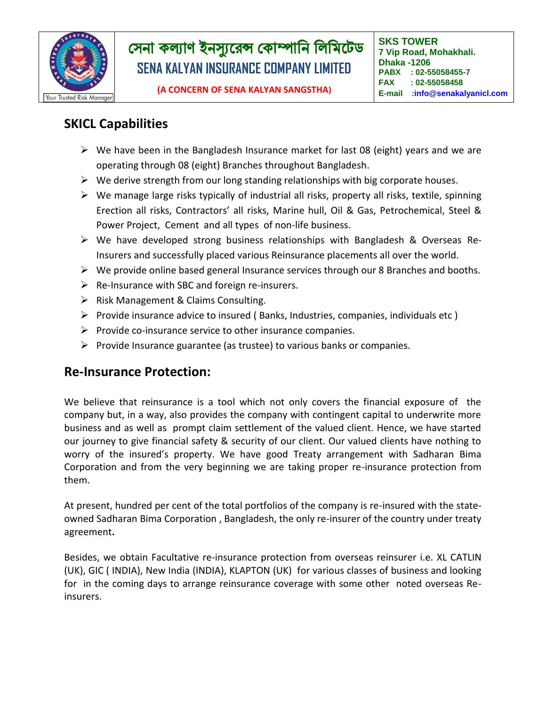

## **SKICL Capabilities**

- $\triangleright$  We have been in the Bangladesh Insurance market for last 08 (eight) years and we are operating through 08 (eight) Branches throughout Bangladesh.
- $\triangleright$  We derive strength from our long standing relationships with big corporate houses.
- $\triangleright$  We manage large risks typically of industrial all risks, property all risks, textile, spinning Erection all risks, Contractors' all risks, Marine hull, Oil & Gas, Petrochemical, Steel & Power Project, Cement and all types of non-life business.
- $\triangleright$  We have developed strong business relationships with Bangladesh & Overseas Re-Insurers and successfully placed various Reinsurance placements all over the world.
- $\triangleright$  We provide online based general Insurance services through our 8 Branches and booths.
- $\triangleright$  Re-Insurance with SBC and foreign re-insurers.
- $\triangleright$  Risk Management & Claims Consulting.
- Provide insurance advice to insured (Banks, Industries, companies, individuals etc)
- $\triangleright$  Provide co-insurance service to other insurance companies.
- $\triangleright$  Provide Insurance guarantee (as trustee) to various banks or companies.

### **Re-Insurance Protection:**

We believe that reinsurance is a tool which not only covers the financial exposure of the company but, in a way, also provides the company with contingent capital to underwrite more business and as well as prompt claim settlement of the valued client. Hence, we have started our journey to give financial safety & security of our client. Our valued clients have nothing to worry of the insured's property. We have good Treaty arrangement with Sadharan Bima Corporation and from the very beginning we are taking proper re-insurance protection from them.

At present, hundred per cent of the total portfolios of the company is re-insured with the stateowned Sadharan Bima Corporation , Bangladesh, the only re-insurer of the country under treaty agreement**.**

Besides, we obtain Facultative re-insurance protection from overseas reinsurer i.e. XL CATLIN (UK), GIC ( INDIA), New India (INDIA), KLAPTON (UK) for various classes of business and looking for in the coming days to arrange reinsurance coverage with some other noted overseas Reinsurers.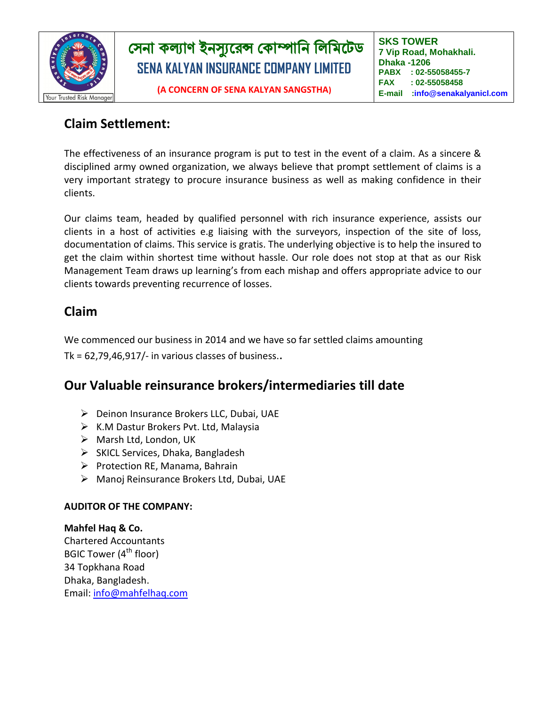

## **Claim Settlement:**

The effectiveness of an insurance program is put to test in the event of a claim. As a sincere & disciplined army owned organization, we always believe that prompt settlement of claims is a very important strategy to procure insurance business as well as making confidence in their clients.

Our claims team, headed by qualified personnel with rich insurance experience, assists our clients in a host of activities e.g liaising with the surveyors, inspection of the site of loss, documentation of claims. This service is gratis. The underlying objective is to help the insured to get the claim within shortest time without hassle. Our role does not stop at that as our Risk Management Team draws up learning's from each mishap and offers appropriate advice to our clients towards preventing recurrence of losses.

## **Claim**

We commenced our business in 2014 and we have so far settled claims amounting

Tk =  $62,79,46,917/$ - in various classes of business..

## **Our Valuable reinsurance brokers/intermediaries till date**

- $\triangleright$  Deinon Insurance Brokers LLC, Dubai, UAE
- $\triangleright$  K.M Dastur Brokers Pvt. Ltd, Malaysia
- $\triangleright$  Marsh Ltd, London, UK
- $\triangleright$  SKICL Services, Dhaka, Bangladesh
- $\triangleright$  Protection RE, Manama, Bahrain
- Manoj Reinsurance Brokers Ltd, Dubai, UAE

#### **AUDITOR OF THE COMPANY:**

**Mahfel Haq & Co.** Chartered Accountants BGIC Tower  $(4<sup>th</sup>$  floor) 34 Topkhana Road Dhaka, Bangladesh. Email: [info@mahfelhaq.com](mailto:info@mahfelhaq.com)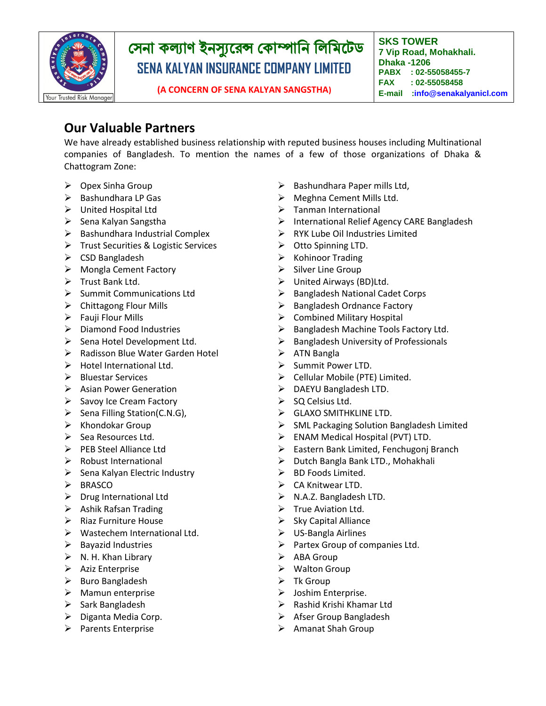

**SKS TOWER 7 Vip Road, Mohakhali. Dhaka -1206 PABX : 02-55058455-7 FAX : 02-55058458 E-mail :info@senakalyanicl.com : info@senakalyanicl.com**

**(A CONCERN OF SENA KALYAN SANGSTHA)**

### **Our Valuable Partners**

We have already established business relationship with reputed business houses including Multinational companies of Bangladesh. To mention the names of a few of those organizations of Dhaka & Chattogram Zone:

- $\triangleright$  Opex Sinha Group
- $\triangleright$  Bashundhara LP Gas
- United Hospital Ltd
- $\triangleright$  Sena Kalyan Sangstha
- $\triangleright$  Bashundhara Industrial Complex
- > Trust Securities & Logistic Services
- $\triangleright$  CSD Bangladesh
- > Mongla Cement Factory
- $\triangleright$  Trust Bank Ltd.
- $\triangleright$  Summit Communications Ltd
- $\triangleright$  Chittagong Flour Mills
- $\triangleright$  Fauji Flour Mills
- $\triangleright$  Diamond Food Industries
- $\triangleright$  Sena Hotel Development Ltd.
- ▶ Radisson Blue Water Garden Hotel
- Hotel International Ltd.
- $\triangleright$  Bluestar Services
- $\triangleright$  Asian Power Generation
- $\triangleright$  Savoy Ice Cream Factory
- $\triangleright$  Sena Filling Station(C.N.G),
- $\triangleright$  Khondokar Group
- $\triangleright$  Sea Resources Ltd.
- $\triangleright$  PEB Steel Alliance Ltd
- $\triangleright$  Robust International
- $\triangleright$  Sena Kalyan Electric Industry
- $\triangleright$  BRASCO
- $\triangleright$  Drug International Ltd
- $\triangleright$  Ashik Rafsan Trading
- $\triangleright$  Riaz Furniture House
- Wastechem International Ltd.
- $\triangleright$  Bayazid Industries
- $\triangleright$  N. H. Khan Library
- $\triangleright$  Aziz Enterprise
- $\triangleright$  Buro Bangladesh
- $\triangleright$  Mamun enterprise
- $\triangleright$  Sark Bangladesh
- $\triangleright$  Diganta Media Corp.
- $\triangleright$  Parents Enterprise
- $\triangleright$  Bashundhara Paper mills Ltd,
- $\triangleright$  Meghna Cement Mills Ltd.
- $\triangleright$  Tanman International
- > International Relief Agency CARE Bangladesh
- RYK Lube Oil Industries Limited
- Otto Spinning LTD.
- $\triangleright$  Kohinoor Trading
- $\triangleright$  Silver Line Group
- United Airways (BD)Ltd.
- $\triangleright$  Bangladesh National Cadet Corps
- $\triangleright$  Bangladesh Ordnance Factory
- $\triangleright$  Combined Military Hospital
- $\triangleright$  Bangladesh Machine Tools Factory Ltd.
- $\triangleright$  Bangladesh University of Professionals
- $\triangleright$  ATN Bangla
- Summit Power LTD.
- $\triangleright$  Cellular Mobile (PTE) Limited.
- > DAEYU Bangladesh LTD.
- $\triangleright$  SQ Celsius Ltd.
- SCAXO SMITHKLINE LTD.
- $\triangleright$  SML Packaging Solution Bangladesh Limited
- $\triangleright$  ENAM Medical Hospital (PVT) LTD.
- Eastern Bank Limited, Fenchugonj Branch
- $\triangleright$  Dutch Bangla Bank LTD., Mohakhali
- $\triangleright$  BD Foods Limited.
- $\triangleright$  CA Knitwear LTD.
- > N.A.Z. Bangladesh LTD.
- $\triangleright$  True Aviation Ltd.
- $\triangleright$  Sky Capital Alliance
- $\triangleright$  US-Bangla Airlines
- $\triangleright$  Partex Group of companies Ltd.
- $\triangleright$  ABA Group
- ▶ Walton Group
- $\triangleright$  Tk Group
- $\triangleright$  Joshim Enterprise.
- $\triangleright$  Rashid Krishi Khamar Ltd
- $\triangleright$  Afser Group Bangladesh
- $\triangleright$  Amanat Shah Group